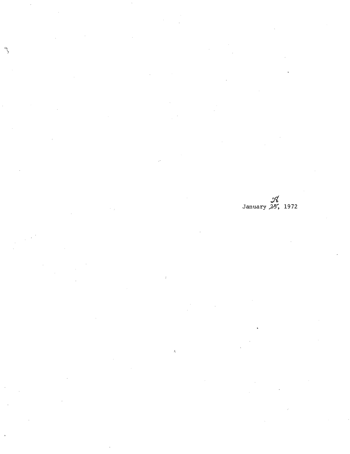98<br>January 25, 1972

 $\hat{\mathbf{x}}$ 

 $\mathcal{E}$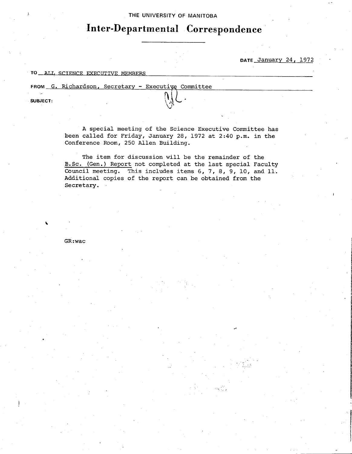#### **<sup>1</sup>THE UNIVERSITY OF MANITOBA**

# **Inter-Departmental Correspondence**

#### **DATE** January 24, 1972

## TO ALL SCIENCE EXECUTIVE MEMBERS

FROM G. Richardson, Secretary - Executive Committee

SUBJECT:

I.

A special meeting of the Science Executive Committee has been called for Friday, January 28, 1972 at 2:40 p.m. in the Conference Room, 250 Allen Building.

The item for discussion will be the remainder of the B.Sc. (Gen.) Report not completed at the last special Faculty Council meeting. This includes items 6, 7, 8, 9, 10, and 11. Additional copies of the report can be obtained from the Secretary.

GR : wac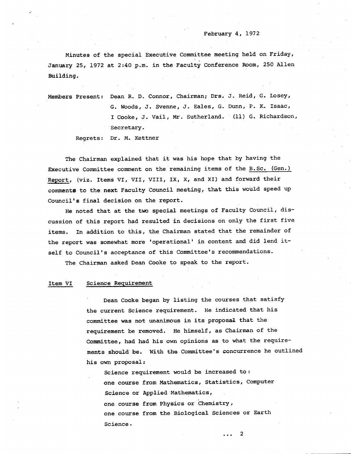#### February 4, 1972

Minutes of the special Executive Committee meeting held on Friday, January 25, 1972 at 2:40 p.m. in the Faculty Conference Room, 250 Allen Building.

Members Present: Dean R. D. *Connor,* Chairman; Drs. J. Reid, G. Losey, G. Woods, J. Svenne, J. Eales, G. Dunn, P. K. Isaac, I Cooke, J. Vail, Mr. Sutherland. (11) G. Richardson, Secretary. Regrets: Dr. M. Kettner

The Chairman explained that it was his hope that by having the Executive Committee comment on the remaining items of the B.Sc. (Gen.) Report, (viz. Items VI, VII, VIII, Ix, x, and XI) and forward their comment6 to the next Faculty Council meeting, that this would speed up Council's final decision on the report.

He noted that at the two special meetings of Faculty Council, discussion of this report had resulted in decisions on only the first five items. In addition to this, the Chairman stated that the remainder of the report was somewhat more 'operational' in content and did lend itself to Council's acceptance of this Committee's recommendations.

The Chairman asked Dean Cooke to speak to the report.

#### Item VI Science Requirement

Dean Cooke began by listing the courses that satisfy the current Science requirement. He indicated that his committee was not unanimous in its proposaL that the requirement be removed. He himself, as Chairman of the Committee, had had his own opinions as to what the requirements should be. With the Committee's concurrence he outlined his own proposal:

Science requirement would be increased to: one course from Mathematics, Statistics, Computer Science or Applied Mathematics, one course from Physics or Chemistry, one course from the Biological Sciences or Earth Science.

... 2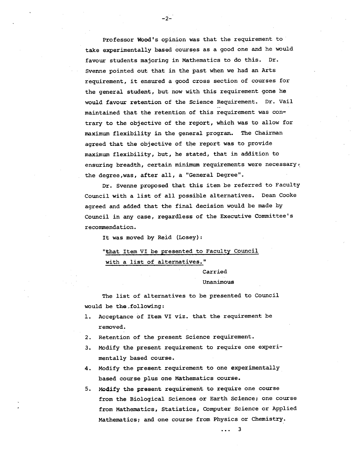Professor Wood's opinion was that the requirement to take experimentally based courses as a good one and he would favour students majoring in Mathematics to do this. Dr. Svenne pointed out that in the past when we had an Arts requirement, it ensured a good cross section of courses for the general student, but now with this requirement gone he would favour retention of the Science Requirement. Dr. Vail maintained that the retention of this requirement was contrary to the objective of the report, which was to allow for maximum flexibility in the general program. The Chairman agreed that the objective of the report was to provide maximum flexibility, but, he stated, that in addition to ensuring breadth, certain minimum requirements were necessary, the degree,was, after all, a "General Degree".

-2-

Dr. Svenne proposed that this item be referred to Faculty Council with a list of all possible alternatives. Dean Cooke agreed and added that the final decision would be made by Council in any case, regardless of the Executive Committee's recommendation.

It was moved by Reid (Losey):

## "that Item VI be presented to Faculty Council with a list of alternatives."

#### Carried

#### Unanimous

The list of alternatives to be presented to Council would be the following:

- 1. Acceptance of Item VI viz. that the requirement be removed.
- 2. Retention of the present Science requirement.
- Modify the present requirement to require one experimentally based course.
- 4. Modify the present requirement to one experimentally based course plus one Mathematics course.
- 5. Modify the present requirement to require one course from the Biological Sciences or Earth Science; one course from Mathematics, Statistics, Computer Science or Applied Mathematics; and one course from Physics or Chemistry.

3  $\ddotsc$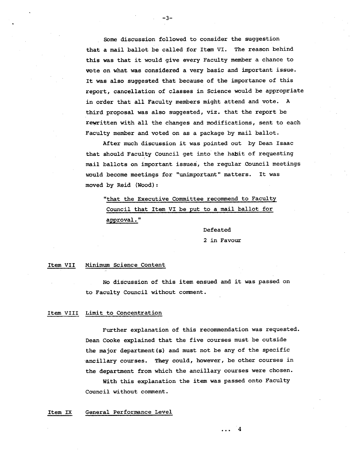Some discussion followed to consider the suggestion that a mail ballot be called for Item VI. The reason behind this was that it would give every Faculty member a chance to vote on what was considered a very basic and important issue. It was also suggested that because of the importance of this report, cancellation of classes in Science would be appropriate in order that all Faculty members might attend and vote. A third proposal was also suggested, viz, that the report be rewritten with all the changes and modifications, sent to each Faculty member and voted on as a package by mail ballot.

-3-

After much discussion it was pointed out by Dean Isaac that should Faculty Council get into the habit of requesting mail ballots on important issues, the regular Council meetings would become meetings for "unimportant" matters. It was moved by Reid (Wood):

"that the Executive Committee recommend to Faculty Council that Item VI be put to a mail ballot for, approval."

> Defeated 2 in Favour

#### Item VII Minimum Science Content

No discussion of this item ensued and it was passed on to Faculty Council without comment.

#### Item VIII Limit to Concentration

Further explanation of this recommendation was requested. Dean Cooke explained that the five courses must be outside the major department(s) and must not be any of the specific ancillary courses. They could, however, be other courses in the department from which the ancillary courses were chosen.

With this explanation the item was passed onto Faculty Council without comment.

#### Item IX General Performance Level